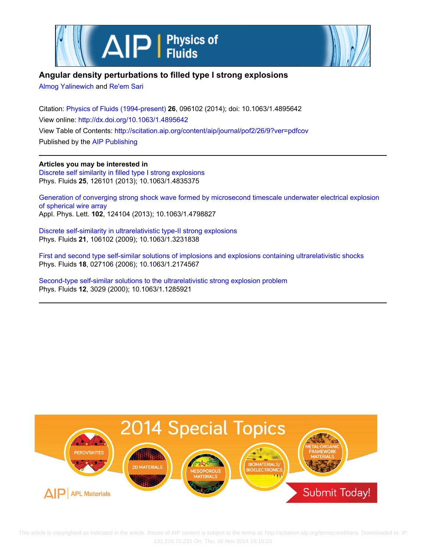



## **Angular density perturbations to filled type I strong explosions**

[Almog Yalinewich](http://scitation.aip.org/search?value1=Almog+Yalinewich&option1=author) and [Re'em Sari](http://scitation.aip.org/search?value1=Re)

Citation: [Physics of Fluids \(1994-present\)](http://scitation.aip.org/content/aip/journal/pof2?ver=pdfcov) **26**, 096102 (2014); doi: 10.1063/1.4895642 View online: <http://dx.doi.org/10.1063/1.4895642> View Table of Contents: <http://scitation.aip.org/content/aip/journal/pof2/26/9?ver=pdfcov> Published by the [AIP Publishing](http://scitation.aip.org/content/aip?ver=pdfcov)

**Articles you may be interested in** [Discrete self similarity in filled type I strong explosions](http://scitation.aip.org/content/aip/journal/pof2/25/12/10.1063/1.4835375?ver=pdfcov) Phys. Fluids **25**, 126101 (2013); 10.1063/1.4835375

[Generation of converging strong shock wave formed by microsecond timescale underwater electrical explosion](http://scitation.aip.org/content/aip/journal/apl/102/12/10.1063/1.4798827?ver=pdfcov) [of spherical wire array](http://scitation.aip.org/content/aip/journal/apl/102/12/10.1063/1.4798827?ver=pdfcov) Appl. Phys. Lett. **102**, 124104 (2013); 10.1063/1.4798827

[Discrete self-similarity in ultrarelativistic type-II strong explosions](http://scitation.aip.org/content/aip/journal/pof2/21/10/10.1063/1.3231838?ver=pdfcov) Phys. Fluids **21**, 106102 (2009); 10.1063/1.3231838

[First and second type self-similar solutions of implosions and explosions containing ultrarelativistic shocks](http://scitation.aip.org/content/aip/journal/pof2/18/2/10.1063/1.2174567?ver=pdfcov) Phys. Fluids **18**, 027106 (2006); 10.1063/1.2174567

[Second-type self-similar solutions to the ultrarelativistic strong explosion problem](http://scitation.aip.org/content/aip/journal/pof2/12/11/10.1063/1.1285921?ver=pdfcov) Phys. Fluids **12**, 3029 (2000); 10.1063/1.1285921

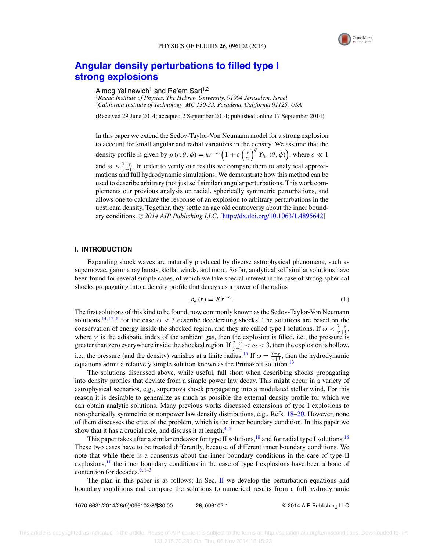

# **[Angular density perturbations to filled type I](http://dx.doi.org/10.1063/1.4895642) [strong explosions](http://dx.doi.org/10.1063/1.4895642)**

Almog Yalinewich<sup>1</sup> and Re'em Sari<sup>1,2</sup>

<sup>1</sup>*Racah Institute of Physics, The Hebrew University, 91904 Jerusalem, Israel* <sup>2</sup>*California Institute of Technology, MC 130-33, Pasadena, California 91125, USA*

(Received 29 June 2014; accepted 2 September 2014; published online 17 September 2014)

In this paper we extend the Sedov-Taylor-Von Neumann model for a strong explosion to account for small angular and radial variations in the density. We assume that the density profile is given by  $\rho(r, \theta, \phi) = kr^{-\omega} \left(1 + \varepsilon \left(\frac{r}{r_0}\right)^q Y_{lm}(\theta, \phi)\right)$ , where  $\varepsilon \ll 1$ and  $\omega \le \frac{7-y}{\gamma+1}$ . In order to verify our results we compare them to analytical approximations and full hydrodynamic simulations. We demonstrate how this method can be used to describe arbitrary (not just self similar) angular perturbations. This work complements our previous analysis on radial, spherically symmetric perturbations, and allows one to calculate the response of an explosion to arbitrary perturbations in the upstream density. Together, they settle an age old controversy about the inner bound-ary conditions. © 2014 AIP Publishing LLC. [\[http://dx.doi.org/10.1063/1.4895642\]](http://dx.doi.org/10.1063/1.4895642)

#### **I. INTRODUCTION**

Expanding shock waves are naturally produced by diverse astrophysical phenomena, such as supernovae, gamma ray bursts, stellar winds, and more. So far, analytical self similar solutions have been found for several simple cases, of which we take special interest in the case of strong spherical shocks propagating into a density profile that decays as a power of the radius

$$
\rho_a(r) = Kr^{-\omega}.
$$
 (1)

The first solutions of this kind to be found, now commonly known as the Sedov-Taylor-Von Neumann solutions,<sup>14,12,6</sup> for the case  $\omega < 3$  describe decelerating shocks. The solutions are based on the conservation of energy inside the shocked region, and they are called type I solutions. If  $\omega < \frac{7-\gamma}{\gamma+1}$ , where  $\gamma$  is the adiabatic index of the ambient gas, then the explosion is filled, i.e., the pressure is greater than zero everywhere inside the shocked region. If  $\frac{7-\gamma}{\gamma+1} < \omega < 3$ , then the explosion is hollow, i.e., the pressure (and the density) vanishes at a finite radius.<sup>15</sup> If  $\omega = \frac{7 - \gamma}{\gamma + 1}$ , then the hydrodynamic equations admit a relatively simple solution known as the Primakoff solution.<sup>13</sup>

The solutions discussed above, while useful, fall short when describing shocks propagating into density profiles that deviate from a simple power law decay. This might occur in a variety of astrophysical scenarios, e.g., supernova shock propagating into a modulated stellar wind. For this reason it is desirable to generalize as much as possible the external density profile for which we can obtain analytic solutions. Many previous works discussed extensions of type I explosions to nonspherically symmetric or nonpower law density distributions, e.g., Refs. 18–20. However, none of them discusses the crux of the problem, which is the inner boundary condition. In this paper we show that it has a crucial role, and discuss it at length. $4.5$ 

This paper takes after a similar endeavor for type II solutions, $10$  and for radial type I solutions.<sup>16</sup> These two cases have to be treated differently, because of different inner boundary conditions. We note that while there is a consensus about the inner boundary conditions in the case of type II explosions, $\frac{11}{11}$  the inner boundary conditions in the case of type I explosions have been a bone of contention for decades. $9,1-3$ 

The plan in this paper is as follows: In Sec. II we develop the perturbation equations and boundary conditions and compare the solutions to numerical results from a full hydrodynamic

1070-6631/2014/26(9)/096102/8/\$30.00 **26**, 096102-1 -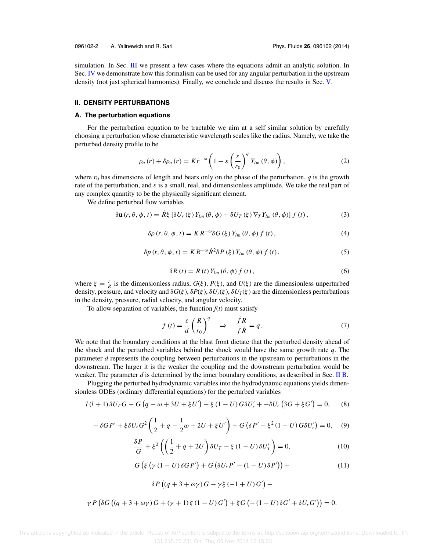simulation. In Sec. III we present a few cases where the equations admit an analytic solution. In Sec. IV we demonstrate how this formalism can be used for any angular perturbation in the upstream density (not just spherical harmonics). Finally, we conclude and discuss the results in Sec. V.

## **II. DENSITY PERTURBATIONS**

#### **A. The perturbation equations**

For the perturbation equation to be tractable we aim at a self similar solution by carefully choosing a perturbation whose characteristic wavelength scales like the radius. Namely, we take the perturbed density profile to be

$$
\rho_a(r) + \delta \rho_a(r) = K r^{-\omega} \left( 1 + \varepsilon \left( \frac{r}{r_0} \right)^q Y_{lm}(\theta, \phi) \right), \tag{2}
$$

where  $r_0$  has dimensions of length and bears only on the phase of the perturbation,  $q$  is the growth rate of the perturbation, and  $\varepsilon$  is a small, real, and dimensionless amplitude. We take the real part of any complex quantity to be the physically significant element.

We define perturbed flow variables

$$
\delta \mathbf{u}(r,\theta,\phi,t) = \dot{R}\xi \left[ \delta U_r\left(\xi\right) Y_{lm}\left(\theta,\phi\right) + \delta U_T\left(\xi\right) \nabla_T Y_{lm}\left(\theta,\phi\right) \right] f\left(t\right),\tag{3}
$$

$$
\delta \rho \left( r, \theta, \phi, t \right) = KR^{-\omega} \delta G \left( \xi \right) Y_{lm} \left( \theta, \phi \right) f \left( t \right), \tag{4}
$$

$$
\delta p(r, \theta, \phi, t) = K R^{-\omega} \dot{R}^2 \delta P(\xi) Y_{lm}(\theta, \phi) f(t), \qquad (5)
$$

$$
\delta R(t) = R(t) Y_{lm}(\theta, \phi) f(t), \qquad (6)
$$

where  $\xi = \frac{r}{R}$  is the dimensionless radius,  $G(\xi)$ ,  $P(\xi)$ , and  $U(\xi)$  are the dimensionless unperturbed density, pressure, and velocity and  $\delta G(\xi)$ ,  $\delta P(\xi)$ ,  $\delta U_r(\xi)$ ,  $\delta U_T(\xi)$  are the dimensionless perturbations in the density, pressure, radial velocity, and angular velocity.

To allow separation of variables, the function  $f(t)$  must satisfy

$$
f(t) = \frac{\varepsilon}{d} \left( \frac{R}{r_0} \right)^q \quad \Rightarrow \quad \frac{\dot{f}R}{f\dot{R}} = q. \tag{7}
$$

We note that the boundary conditions at the blast front dictate that the perturbed density ahead of the shock and the perturbed variables behind the shock would have the same growth rate *q*. The parameter *d* represents the coupling between perturbations in the upstream to perturbations in the downstream. The larger it is the weaker the coupling and the downstream perturbation would be weaker. The parameter *d* is determined by the inner boundary conditions, as described in Sec. II B.

Plugging the perturbed hydrodynamic variables into the hydrodynamic equations yields dimensionless ODEs (ordinary differential equations) for the perturbed variables

$$
l(l+1)\delta U_T G - G\left(q - \omega + 3U + \xi U'\right) - \xi (1 - U)G\delta U'_r + -\delta U_r (3G + \xi G') = 0,\tag{8}
$$

$$
- \delta G P' + \xi \delta U_r G^2 \left( \frac{1}{2} + q - \frac{1}{2} \omega + 2U + \xi U' \right) + G \left( \delta P' - \xi^2 (1 - U) G \delta U'_r \right) = 0, \quad (9)
$$

$$
\frac{\delta P}{G} + \xi^2 \left( \left( \frac{1}{2} + q + 2U \right) \delta U_T - \xi (1 - U) \delta U'_T \right) = 0,\tag{10}
$$

$$
G\left(\xi\left(\gamma\left(1-U\right)\delta GP'\right)+G\left(\delta U_{r}P'-(1-U)\delta P'\right)\right)+\tag{11}
$$

$$
\delta P\left((q+3+\omega\gamma)G-\gamma\xi\left(-1+U\right)G'\right)-
$$

$$
\gamma P \left( \delta G \left( (q + 3 + \omega \gamma) G + (\gamma + 1) \xi (1 - U) G' \right) + \xi G \left( - (1 - U) \delta G' + \delta U_r G' \right) \right) = 0.
$$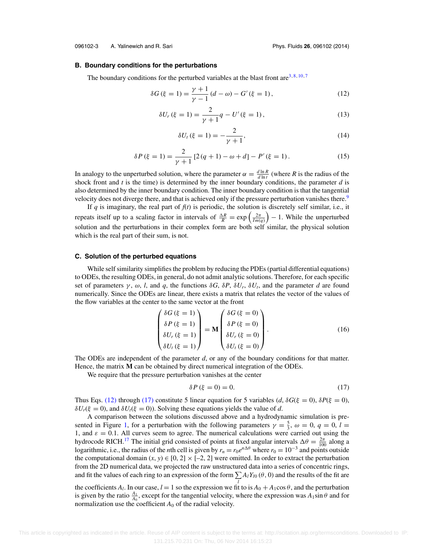#### **B. Boundary conditions for the perturbations**

The boundary conditions for the perturbed variables at the blast front are  $3,8,10,7$ 

$$
\delta G(\xi = 1) = \frac{\gamma + 1}{\gamma - 1} (d - \omega) - G'(\xi = 1),
$$
\n(12)

$$
\delta U_r(\xi = 1) = \frac{2}{\gamma + 1} q - U'(\xi = 1),\tag{13}
$$

$$
\delta U_t \, (\xi = 1) = -\frac{2}{\gamma + 1},\tag{14}
$$

$$
\delta P(\xi = 1) = \frac{2}{\gamma + 1} \left[ 2(q + 1) - \omega + d \right] - P'(\xi = 1).
$$
 (15)

In analogy to the unperturbed solution, where the parameter  $\alpha = \frac{d \ln R}{d \ln t}$  (where *R* is the radius of the shock front and *t* is the time) is determined by the inner boundary conditions, the parameter *d* is also determined by the inner boundary condition. The inner boundary condition is that the tangential velocity does not diverge there, and that is achieved only if the pressure perturbation vanishes there.<sup>9</sup>

If  $q$  is imaginary, the real part of  $f(t)$  is periodic, the solution is discretely self similar, i.e., it repeats itself up to a scaling factor in intervals of  $\frac{\Delta R}{R} = \exp\left(\frac{2\pi}{Im(q)}\right) - 1$ . While the unperturbed solution and the perturbations in their complex form are both self similar, the physical solution which is the real part of their sum, is not.

#### **C. Solution of the perturbed equations**

While self similarity simplifies the problem by reducing the PDEs (partial differential equations) to ODEs, the resulting ODEs, in general, do not admit analytic solutions. Therefore, for each specific set of parameters  $\gamma$ ,  $\omega$ , *l*, and *q*, the functions  $\delta G$ ,  $\delta P$ ,  $\delta U_r$ ,  $\delta U_t$ , and the parameter *d* are found numerically. Since the ODEs are linear, there exists a matrix that relates the vector of the values of the flow variables at the center to the same vector at the front

$$
\begin{pmatrix}\n\delta G \ (\xi = 1) \\
\delta P \ (\xi = 1) \\
\delta U_r \ (\xi = 1) \\
\delta U_t \ (\xi = 1)\n\end{pmatrix} = \mathbf{M} \begin{pmatrix}\n\delta G \ (\xi = 0) \\
\delta P \ (\xi = 0) \\
\delta U_r \ (\xi = 0) \\
\delta U_t \ (\xi = 0)\n\end{pmatrix}.
$$
\n(16)

The ODEs are independent of the parameter *d*, or any of the boundary conditions for that matter. Hence, the matrix **M** can be obtained by direct numerical integration of the ODEs.

We require that the pressure perturbation vanishes at the center

$$
\delta P \left( \xi = 0 \right) = 0. \tag{17}
$$

Thus Eqs. (12) through (17) constitute 5 linear equation for 5 variables (*d*,  $\delta G(\xi = 0)$ ,  $\delta P(\xi = 0)$ ,  $\delta U_r(\xi = 0)$ , and  $\delta U_r(\xi = 0)$ ). Solving these equations yields the value of *d*.

A comparison between the solutions discussed above and a hydrodynamic simulation is presented in Figure 1, for a perturbation with the following parameters  $\gamma = \frac{5}{3}$ ,  $\omega = 0$ ,  $q = 0$ ,  $l =$ 1, and  $\varepsilon = 0.1$ . All curves seem to agree. The numerical calculations were carried out using the hydrocode RICH.<sup>17</sup> The initial grid consisted of points at fixed angular intervals  $\Delta\theta = \frac{2\pi}{100}$  along a logarithmic, i.e., the radius of the *n*th cell is given by  $r_n = r_0 e^{n\Delta\theta}$  where  $r_0 = 10^{-3}$  and points outside the computational domain  $(x, y) \in [0, 2] \times [-2, 2]$  were omitted. In order to extract the perturbation from the 2D numerical data, we projected the raw unstructured data into a series of concentric rings, and fit the values of each ring to an expression of the form  $\sum A_l Y_{l0}(\theta,0)$  and the results of the fit are

the coefficients *A<sub>l</sub>*. In our case,  $l = 1$  so the expression we fit to is  $A_0 + A_1 \cos \theta$ , and the perturbation is given by the ratio  $\frac{A_1}{A_0}$ , except for the tangential velocity, where the expression was  $A_1 \sin \theta$  and for normalization use the coefficient  $A_0$  of the radial velocity.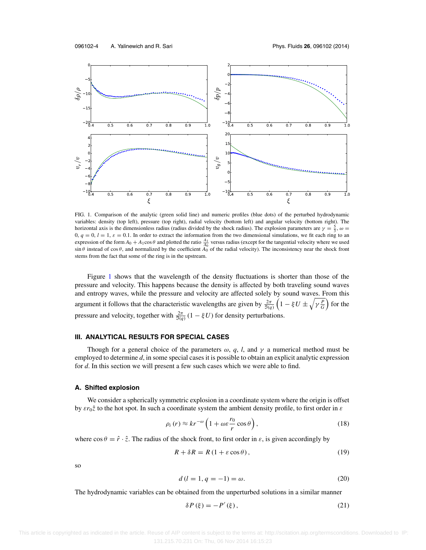

FIG. 1. Comparison of the analytic (green solid line) and numeric profiles (blue dots) of the perturbed hydrodynamic variables: density (top left), pressure (top right), radial velocity (bottom left) and angular velocity (bottom right). The horizontal axis is the dimensionless radius (radius divided by the shock radius). The explosion parameters are  $\gamma = \frac{5}{3}$ ,  $\omega =$  $0, q = 0, l = 1, \varepsilon = 0.1$ . In order to extract the information from the two dimensional simulations, we fit each ring to an expression of the form  $A_0 + A_1 \cos \theta$  and plotted the ratio  $\frac{A_1}{A_0}$  versus radius (except for the tangential velocity where we used  $\sin \theta$  instead of  $\cos \theta$ , and normalized by the coefficient  $\overline{A_0}$  of the radial velocity). The inconsistency near the shock front stems from the fact that some of the ring is in the upstream.

Figure 1 shows that the wavelength of the density fluctuations is shorter than those of the pressure and velocity. This happens because the density is affected by both traveling sound waves and entropy waves, while the pressure and velocity are affected solely by sound waves. From this argument it follows that the characteristic wavelengths are given by  $\frac{2\pi}{\Im(q)}\left(1-\xi U \pm \sqrt{\gamma \frac{P}{G}}\right)$  for the pressure and velocity, together with  $\frac{2\pi}{\Im(q)}(1 - \xi U)$  for density perturbations.

## **III. ANALYTICAL RESULTS FOR SPECIAL CASES**

Though for a general choice of the parameters  $\omega$ , q, l, and  $\gamma$  a numerical method must be employed to determine *d*, in some special cases it is possible to obtain an explicit analytic expression for *d*. In this section we will present a few such cases which we were able to find.

## **A. Shifted explosion**

We consider a spherically symmetric explosion in a coordinate system where the origin is offset by  $\varepsilon r_0\hat{z}$  to the hot spot. In such a coordinate system the ambient density profile, to first order in  $\varepsilon$ 

$$
\rho_i(r) \approx kr^{-\omega} \left( 1 + \omega \varepsilon \frac{r_0}{r} \cos \theta \right),\tag{18}
$$

where  $\cos \theta = \hat{r} \cdot \hat{z}$ . The radius of the shock front, to first order in  $\varepsilon$ , is given accordingly by

$$
R + \delta R = R (1 + \varepsilon \cos \theta), \tag{19}
$$

so

$$
d(l = 1, q = -1) = \omega.
$$
 (20)

The hydrodynamic variables can be obtained from the unperturbed solutions in a similar manner

$$
\delta P(\xi) = -P'(\xi),\tag{21}
$$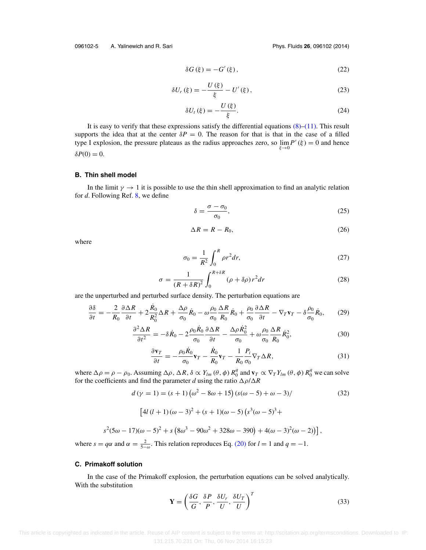$$
\delta G\left(\xi\right) = -G'\left(\xi\right),\tag{22}
$$

$$
\delta U_r(\xi) = -\frac{U(\xi)}{\xi} - U'(\xi),\tag{23}
$$

$$
\delta U_t(\xi) = -\frac{U(\xi)}{\xi}.\tag{24}
$$

It is easy to verify that these expressions satisfy the differential equations  $(8)$ – $(11)$ . This result supports the idea that at the center  $\delta P = 0$ . The reason for that is that in the case of a filled type I explosion, the pressure plateaus as the radius approaches zero, so  $\lim_{\xi \to 0} P'(\xi) = 0$  and hence  $\delta P(0) = 0.$ 

## **B. Thin shell model**

In the limit  $\gamma \to 1$  it is possible to use the thin shell approximation to find an analytic relation for *d*. Following Ref. 8, we define

$$
\delta = \frac{\sigma - \sigma_0}{\sigma_0},\tag{25}
$$

$$
\Delta R = R - R_0,\tag{26}
$$

where

$$
\sigma_0 = \frac{1}{R^2} \int_0^R \rho r^2 dr,\tag{27}
$$

$$
\sigma = \frac{1}{(R + \delta R)^2} \int_0^{R + \delta R} (\rho + \delta \rho) r^2 dr \tag{28}
$$

are the unperturbed and perturbed surface density. The perturbation equations are

$$
\frac{\partial \delta}{\partial t} = -\frac{2}{R_0} \frac{\partial \Delta R}{\partial t} + 2 \frac{\dot{R}_0}{R_0^2} \Delta R + \frac{\Delta \rho}{\sigma_0} \dot{R}_0 - \omega \frac{\rho_0}{\sigma_0} \frac{\Delta R}{R_0} \dot{R}_0 + \frac{\rho_0}{\sigma_0} \frac{\partial \Delta R}{\partial t} - \nabla_T \mathbf{v}_T - \delta \frac{\rho_0}{\sigma_0} \dot{R}_0, \tag{29}
$$

$$
\frac{\partial^2 \Delta R}{\partial t^2} = -\delta \dot{R}_0 - 2 \frac{\rho_0 \dot{R}_0}{\sigma_0} \frac{\partial \Delta R}{\partial t} - \frac{\Delta \rho \dot{R}_0^2}{\sigma_0} + \omega \frac{\rho_0}{\sigma_0} \frac{\Delta R}{R_0} \dot{R}_0^2, \tag{30}
$$

$$
\frac{\partial \mathbf{v}_T}{\partial t} = -\frac{\rho_0 \dot{R}_0}{\sigma_0} \mathbf{v}_T - \frac{\dot{R}_0}{R_0} \mathbf{v}_T - \frac{1}{R_0} \frac{P_i}{\sigma_0} \nabla_T \Delta R, \tag{31}
$$

where  $\Delta \rho = \rho - \rho_0$ . Assuming  $\Delta \rho$ ,  $\Delta R$ ,  $\delta \propto Y_{lm}(\theta, \phi) R_0^q$  and  $\mathbf{v}_T \propto \nabla_T Y_{lm}(\theta, \phi) R_0^q$  we can solve for the coefficients and find the parameter *d* using the ratio  $\Delta \rho / \Delta R$ 

$$
d(\gamma = 1) = (s + 1)(\omega^2 - 8\omega + 15)(s(\omega - 5) + \omega - 3)
$$
\n(32)

$$
\left[4l(l+1)(\omega - 3)^2 + (s+1)(\omega - 5)(s^3(\omega - 5)^3 + \right.\right.
$$

$$
s^{2}(5\omega - 17)(\omega - 5)^{2} + s(8\omega^{3} - 90\omega^{2} + 328\omega - 390) + 4(\omega - 3)^{2}(\omega - 2))],
$$

where  $s = q\alpha$  and  $\alpha = \frac{2}{5-\omega}$ . This relation reproduces Eq. (20) for  $l = 1$  and  $q = -1$ .

#### **C. Primakoff solution**

In the case of the Primakoff explosion, the perturbation equations can be solved analytically. With the substitution

$$
\mathbf{Y} = \left(\frac{\delta G}{G}, \frac{\delta P}{P}, \frac{\delta U_r}{U}, \frac{\delta U_T}{U}\right)^T
$$
(33)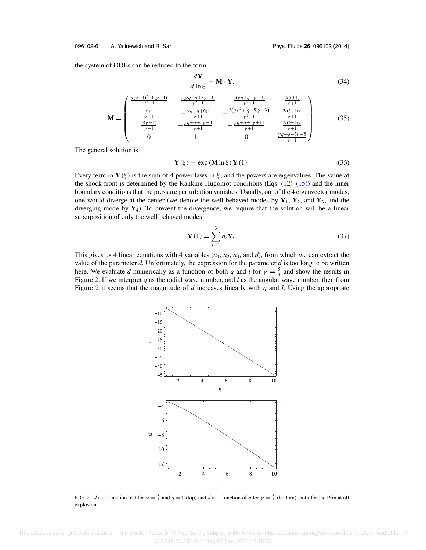#### 096102-6 A. Yalinewich and R. Sari Phys. Fluids **26**, 096102 (2014)

the system of ODEs can be reduced to the form

$$
\frac{d\mathbf{Y}}{d\ln\xi} = \mathbf{M} \cdot \mathbf{Y},\tag{34}
$$

$$
\begin{pmatrix}\n\frac{q(\gamma+1)^2+6(\gamma-1)}{\gamma^2-1} & -\frac{2(\gamma q+q+3\gamma-3)}{\gamma^2-1} & -\frac{2(\gamma q+q-\gamma+7)}{\gamma^2-1} & \frac{2l(l+1)}{\gamma+1} \\
\frac{6\gamma}{\gamma} & -\frac{\gamma q+q+6\gamma}{\gamma} & -\frac{2(q\gamma^2+(q+5)\gamma-3)}{\gamma+1} & \frac{2l(l+1)\gamma}{\gamma+1}\n\end{pmatrix}
$$

$$
\mathbf{M} = \begin{bmatrix} \frac{6\gamma}{\gamma+1} & -\frac{\gamma q+q+6\gamma}{\gamma+1} & -\frac{2(q\gamma^2+(q+5)\gamma-3)}{\gamma^2-1} & \frac{2l(l+1)\gamma}{\gamma+1} \\ \frac{3(\gamma-1)}{\gamma+1} & -\frac{\gamma q+q+3\gamma-3}{\gamma+1} & -\frac{\gamma q+q+3\gamma+11}{\gamma+1} & \frac{2l(l+1)\gamma}{\gamma+1} \\ 0 & 1 & 0 & \frac{\gamma q+q-3\gamma+5}{\gamma-1} \end{bmatrix} . \tag{35}
$$

The general solution is

$$
\mathbf{Y}(\xi) = \exp\left(\mathbf{M}\ln\xi\right)\mathbf{Y}(1). \tag{36}
$$

Every term in **Y** (ξ) is the sum of 4 power laws in  $\xi$ , and the powers are eigenvalues. The value at the shock front is determined by the Rankine Hugoniot conditions (Eqs.  $(12)–(15)$ ) and the inner boundary conditions that the pressure perturbation vanishes. Usually, out of the 4 eigenvector modes, one would diverge at the center (we denote the well behaved modes by  $Y_1$ ,  $Y_2$ , and  $Y_3$ , and the diverging mode by  $Y_4$ ). To prevent the divergence, we require that the solution will be a linear superposition of only the well behaved modes

$$
\mathbf{Y}(1) = \sum_{i=1}^{3} a_i \mathbf{Y}_i.
$$
 (37)

This gives us 4 linear equations with 4 variables  $(a_1, a_2, a_3,$  and *d*), from which we can extract the value of the parameter  $d$ . Unfortunately, the expression for the parameter  $d$  is too long to be written here. We evaluate *d* numerically as a function of both *q* and *l* for  $\gamma = \frac{5}{3}$  and show the results in Figure 2. If we interpret *q* as the radial wave number, and *l* as the angular wave number, then from Figure 2 it seems that the magnitude of *d* increases linearly with *q* and *l*. Using the appropriate



FIG. 2. *d* as a function of *l* for  $\gamma = \frac{5}{3}$  and  $q = 0$  (top) and *d* as a function of *q* for  $\gamma = \frac{5}{3}$  (bottom), both for the Primakoff explosion.

 This article is copyrighted as indicated in the article. Reuse of AIP content is subject to the terms at: http://scitation.aip.org/termsconditions. Downloaded to IP: 131.215.70.231 On: Thu, 06 Nov 2014 16:15:23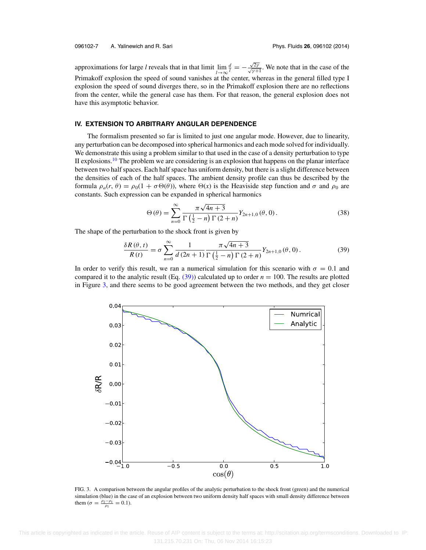approximations for large *l* reveals that in that limit  $\lim_{l\to\infty}$  $\frac{d}{l} = -\frac{\sqrt{2\gamma}}{\sqrt{\gamma+1}}$ . We note that in the case of the Primakoff explosion the speed of sound vanishes at the center, whereas in the general filled type I explosion the speed of sound diverges there, so in the Primakoff explosion there are no reflections from the center, while the general case has them. For that reason, the general explosion does not have this asymptotic behavior.

## **IV. EXTENSION TO ARBITRARY ANGULAR DEPENDENCE**

The formalism presented so far is limited to just one angular mode. However, due to linearity, any perturbation can be decomposed into spherical harmonics and each mode solved for individually. We demonstrate this using a problem similar to that used in the case of a density perturbation to type II explosions.<sup>10</sup> The problem we are considering is an explosion that happens on the planar interface between two half spaces. Each half space has uniform density, but there is a slight difference between the densities of each of the half spaces. The ambient density profile can thus be described by the formula  $\rho_a(r, \theta) = \rho_0(1 + \sigma \Theta(\theta))$ , where  $\Theta(x)$  is the Heaviside step function and  $\sigma$  and  $\rho_0$  are constants. Such expression can be expanded in spherical harmonics

$$
\Theta(\theta) = \sum_{n=0}^{\infty} \frac{\pi \sqrt{4n+3}}{\Gamma(\frac{1}{2}-n) \Gamma(2+n)} Y_{2n+1,0}(\theta,0).
$$
 (38)

The shape of the perturbation to the shock front is given by

$$
\frac{\delta R(\theta, t)}{R(t)} = \sigma \sum_{n=0}^{\infty} \frac{1}{d(2n+1)} \frac{\pi \sqrt{4n+3}}{\Gamma(\frac{1}{2}-n) \Gamma(2+n)} Y_{2n+1,0}(\theta, 0).
$$
 (39)

In order to verify this result, we ran a numerical simulation for this scenario with  $\sigma = 0.1$  and compared it to the analytic result (Eq.  $(39)$ ) calculated up to order  $n = 100$ . The results are plotted in Figure 3, and there seems to be good agreement between the two methods, and they get closer



FIG. 3. A comparison between the angular profiles of the analytic perturbation to the shock front (green) and the numerical simulation (blue) in the case of an explosion between two uniform density half spaces with small density difference between them ( $\sigma = \frac{\rho_2 - \rho_1}{\rho_1} = 0.1$ ).